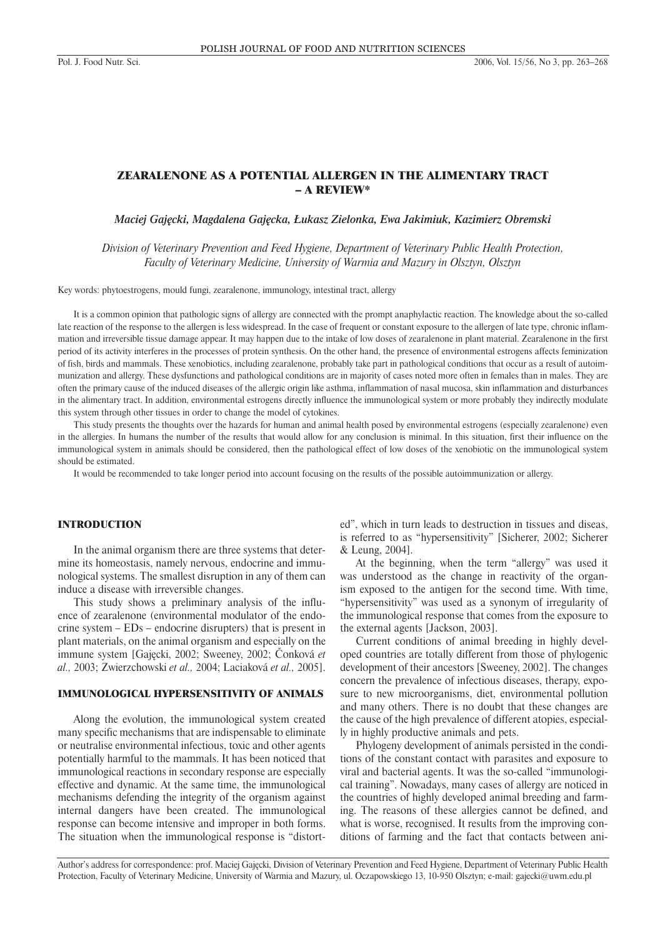# ZEARALENONE AS A POTENTIAL ALLERGEN IN THE ALIMENTARY TRACT – A REVIEW\*

*Maciej Gajęcki, Magdalena Gajęcka, Łukasz Zielonka, Ewa Jakimiuk, Kazimierz Obremski*

*Division of Veterinary Prevention and Feed Hygiene, Department of Veterinary Public Health Protection, Faculty of Veterinary Medicine, University of Warmia and Mazury in Olsztyn, Olsztyn*

Key words: phytoestrogens, mould fungi, zearalenone, immunology, intestinal tract, allergy

It is a common opinion that pathologic signs of allergy are connected with the prompt anaphylactic reaction. The knowledge about the so-called late reaction of the response to the allergen is less widespread. In the case of frequent or constant exposure to the allergen of late type, chronic inflammation and irreversible tissue damage appear. It may happen due to the intake of low doses of zearalenone in plant material. Zearalenone in the first period of its activity interferes in the processes of protein synthesis. On the other hand, the presence of environmental estrogens affects feminization of fish, birds and mammals. These xenobiotics, including zearalenone, probably take part in pathological conditions that occur as a result of autoimmunization and allergy. These dysfunctions and pathological conditions are in majority of cases noted more often in females than in males. They are often the primary cause of the induced diseases of the allergic origin like asthma, inflammation of nasal mucosa, skin inflammation and disturbances in the alimentary tract. In addition, environmental estrogens directly influence the immunological system or more probably they indirectly modulate this system through other tissues in order to change the model of cytokines.

This study presents the thoughts over the hazards for human and animal health posed by environmental estrogens (especially zearalenone) even in the allergies. In humans the number of the results that would allow for any conclusion is minimal. In this situation, first their influence on the immunological system in animals should be considered, then the pathological effect of low doses of the xenobiotic on the immunological system should be estimated.

It would be recommended to take longer period into account focusing on the results of the possible autoimmunization or allergy.

#### INTRODUCTION

In the animal organism there are three systems that determine its homeostasis, namely nervous, endocrine and immunological systems. The smallest disruption in any of them can induce a disease with irreversible changes.

This study shows a preliminary analysis of the influence of zearalenone (environmental modulator of the endocrine system – EDs – endocrine disrupters) that is present in plant materials, on the animal organism and especially on the immune system [Gajęcki, 2002; Sweeney, 2002; Čonková *et al.,* 2003; Zwierzchowski *et al.,* 2004; Laciaková *et al.,* 2005].

### IMMUNOLOGICAL HYPERSENSITIVITY OF ANIMALS

Along the evolution, the immunological system created many specific mechanisms that are indispensable to eliminate or neutralise environmental infectious, toxic and other agents potentially harmful to the mammals. It has been noticed that immunological reactions in secondary response are especially effective and dynamic. At the same time, the immunological mechanisms defending the integrity of the organism against internal dangers have been created. The immunological response can become intensive and improper in both forms. The situation when the immunological response is "distorted", which in turn leads to destruction in tissues and diseas, is referred to as "hypersensitivity" [Sicherer, 2002; Sicherer & Leung, 2004].

At the beginning, when the term "allergy" was used it was understood as the change in reactivity of the organism exposed to the antigen for the second time. With time, "hypersensitivity" was used as a synonym of irregularity of the immunological response that comes from the exposure to the external agents [Jackson, 2003].

Current conditions of animal breeding in highly developed countries are totally different from those of phylogenic development of their ancestors [Sweeney, 2002]. The changes concern the prevalence of infectious diseases, therapy, exposure to new microorganisms, diet, environmental pollution and many others. There is no doubt that these changes are the cause of the high prevalence of different atopies, especially in highly productive animals and pets.

Phylogeny development of animals persisted in the conditions of the constant contact with parasites and exposure to viral and bacterial agents. It was the so-called "immunological training". Nowadays, many cases of allergy are noticed in the countries of highly developed animal breeding and farming. The reasons of these allergies cannot be defined, and what is worse, recognised. It results from the improving conditions of farming and the fact that contacts between ani-

Author's address for correspondence: prof. Maciej Gajęcki, Division of Veterinary Prevention and Feed Hygiene, Department of Veterinary Public Health Protection, Faculty of Veterinary Medicine, University of Warmia and Mazury, ul. Oczapowskiego 13, 10-950 Olsztyn; e-mail: gajecki@uwm.edu.pl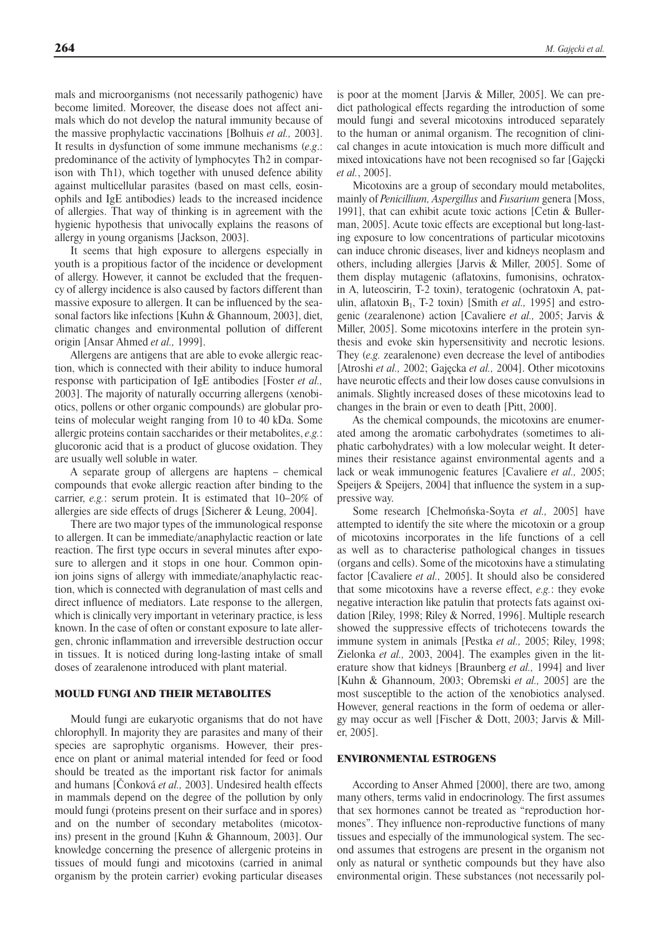mals and microorganisms (not necessarily pathogenic) have become limited. Moreover, the disease does not affect animals which do not develop the natural immunity because of the massive prophylactic vaccinations [Bolhuis *et al.,* 2003]. It results in dysfunction of some immune mechanisms (*e.g*.: predominance of the activity of lymphocytes Th2 in comparison with Th1), which together with unused defence ability against multicellular parasites (based on mast cells, eosinophils and IgE antibodies) leads to the increased incidence of allergies. That way of thinking is in agreement with the hygienic hypothesis that univocally explains the reasons of allergy in young organisms [Jackson, 2003].

It seems that high exposure to allergens especially in youth is a propitious factor of the incidence or development of allergy. However, it cannot be excluded that the frequency of allergy incidence is also caused by factors different than massive exposure to allergen. It can be influenced by the seasonal factors like infections [Kuhn & Ghannoum, 2003], diet, climatic changes and environmental pollution of different origin [Ansar Ahmed *et al.,* 1999].

Allergens are antigens that are able to evoke allergic reaction, which is connected with their ability to induce humoral response with participation of IgE antibodies [Foster *et al.,* 2003]. The majority of naturally occurring allergens (xenobiotics, pollens or other organic compounds) are globular proteins of molecular weight ranging from 10 to 40 kDa. Some allergic proteins contain saccharides or their metabolites, *e.g.*: glucoronic acid that is a product of glucose oxidation. They are usually well soluble in water.

A separate group of allergens are haptens – chemical compounds that evoke allergic reaction after binding to the carrier, *e.g.*: serum protein. It is estimated that 10–20% of allergies are side effects of drugs [Sicherer & Leung, 2004].

There are two major types of the immunological response to allergen. It can be immediate/anaphylactic reaction or late reaction. The first type occurs in several minutes after exposure to allergen and it stops in one hour. Common opinion joins signs of allergy with immediate/anaphylactic reaction, which is connected with degranulation of mast cells and direct influence of mediators. Late response to the allergen, which is clinically very important in veterinary practice, is less known. In the case of often or constant exposure to late allergen, chronic inflammation and irreversible destruction occur in tissues. It is noticed during long-lasting intake of small doses of zearalenone introduced with plant material.

### MOULD FUNGI AND THEIR METABOLITES

Mould fungi are eukaryotic organisms that do not have chlorophyll. In majority they are parasites and many of their species are saprophytic organisms. However, their presence on plant or animal material intended for feed or food should be treated as the important risk factor for animals and humans [Čonková *et al.,* 2003]. Undesired health effects in mammals depend on the degree of the pollution by only mould fungi (proteins present on their surface and in spores) and on the number of secondary metabolites (micotoxins) present in the ground [Kuhn & Ghannoum, 2003]. Our knowledge concerning the presence of allergenic proteins in tissues of mould fungi and micotoxins (carried in animal organism by the protein carrier) evoking particular diseases

is poor at the moment [Jarvis & Miller, 2005]. We can predict pathological effects regarding the introduction of some mould fungi and several micotoxins introduced separately to the human or animal organism. The recognition of clinical changes in acute intoxication is much more difficult and mixed intoxications have not been recognised so far [Gajęcki *et al.*, 2005].

Micotoxins are a group of secondary mould metabolites, mainly of *Penicillium, Aspergillus* and *Fusarium* genera [Moss, 1991], that can exhibit acute toxic actions [Cetin & Bullerman, 2005]. Acute toxic effects are exceptional but long-lasting exposure to low concentrations of particular micotoxins can induce chronic diseases, liver and kidneys neoplasm and others, including allergies [Jarvis & Miller, 2005]. Some of them display mutagenic (aflatoxins, fumonisins, ochratoxin A, luteoscirin, T-2 toxin), teratogenic (ochratoxin A, patulin, aflatoxin  $B_1$ , T-2 toxin) [Smith *et al.*, 1995] and estrogenic (zearalenone) action [Cavaliere *et al.,* 2005; Jarvis & Miller, 2005]. Some micotoxins interfere in the protein synthesis and evoke skin hypersensitivity and necrotic lesions. They (*e.g.* zearalenone) even decrease the level of antibodies [Atroshi *et al.,* 2002; Gajęcka *et al.,* 2004]. Other micotoxins have neurotic effects and their low doses cause convulsions in animals. Slightly increased doses of these micotoxins lead to changes in the brain or even to death [Pitt, 2000].

As the chemical compounds, the micotoxins are enumerated among the aromatic carbohydrates (sometimes to aliphatic carbohydrates) with a low molecular weight. It determines their resistance against environmental agents and a lack or weak immunogenic features [Cavaliere *et al.,* 2005; Speijers & Speijers, 2004] that influence the system in a suppressive way.

Some research [Chełmońska-Soyta *et al.,* 2005] have attempted to identify the site where the micotoxin or a group of micotoxins incorporates in the life functions of a cell as well as to characterise pathological changes in tissues (organs and cells). Some of the micotoxins have a stimulating factor [Cavaliere *et al.,* 2005]. It should also be considered that some micotoxins have a reverse effect, *e.g.*: they evoke negative interaction like patulin that protects fats against oxidation [Riley, 1998; Riley & Norred, 1996]. Multiple research showed the suppressive effects of trichotecens towards the immune system in animals [Pestka *et al.,* 2005; Riley, 1998; Zielonka *et al.,* 2003, 2004]. The examples given in the literature show that kidneys [Braunberg *et al.,* 1994] and liver [Kuhn & Ghannoum, 2003; Obremski *et al.,* 2005] are the most susceptible to the action of the xenobiotics analysed. However, general reactions in the form of oedema or allergy may occur as well [Fischer & Dott, 2003; Jarvis & Miller, 2005].

#### ENVIRONMENTAL ESTROGENS

According to Anser Ahmed [2000], there are two, among many others, terms valid in endocrinology. The first assumes that sex hormones cannot be treated as "reproduction hormones". They influence non-reproductive functions of many tissues and especially of the immunological system. The second assumes that estrogens are present in the organism not only as natural or synthetic compounds but they have also environmental origin. These substances (not necessarily pol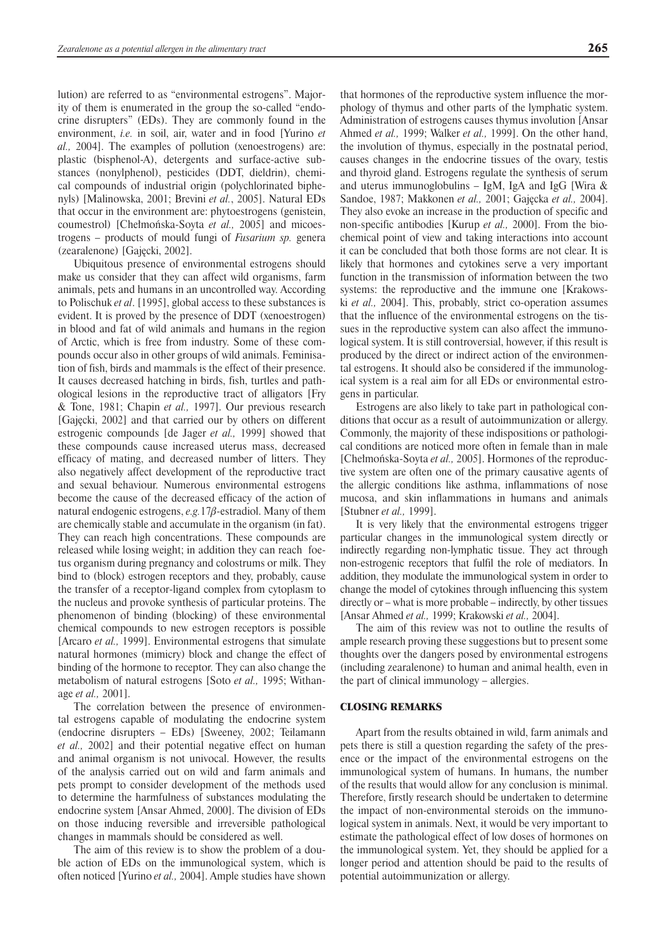lution) are referred to as "environmental estrogens". Majority of them is enumerated in the group the so-called "endocrine disrupters" (EDs). They are commonly found in the environment, *i.e.* in soil, air, water and in food [Yurino *et al.,* 2004]. The examples of pollution (xenoestrogens) are: plastic (bisphenol-A), detergents and surface-active substances (nonylphenol), pesticides (DDT, dieldrin), chemical compounds of industrial origin (polychlorinated biphenyls) [Malinowska, 2001; Brevini *et al.*, 2005]. Natural EDs that occur in the environment are: phytoestrogens (genistein, coumestrol) [Chełmońska-Soyta *et al.,* 2005] and micoestrogens – products of mould fungi of *Fusarium sp.* genera (zearalenone) [Gajęcki, 2002].

Ubiquitous presence of environmental estrogens should make us consider that they can affect wild organisms, farm animals, pets and humans in an uncontrolled way. According to Polischuk *et al*. [1995], global access to these substances is evident. It is proved by the presence of DDT (xenoestrogen) in blood and fat of wild animals and humans in the region of Arctic, which is free from industry. Some of these compounds occur also in other groups of wild animals. Feminisation of fish, birds and mammals is the effect of their presence. It causes decreased hatching in birds, fish, turtles and pathological lesions in the reproductive tract of alligators [Fry & Tone, 1981; Chapin *et al.,* 1997]. Our previous research [Gajęcki, 2002] and that carried our by others on different estrogenic compounds [de Jager *et al.,* 1999] showed that these compounds cause increased uterus mass, decreased efficacy of mating, and decreased number of litters. They also negatively affect development of the reproductive tract and sexual behaviour. Numerous environmental estrogens become the cause of the decreased efficacy of the action of natural endogenic estrogens,  $e.g. 17\beta$ -estradiol. Many of them are chemically stable and accumulate in the organism (in fat). They can reach high concentrations. These compounds are released while losing weight; in addition they can reach foetus organism during pregnancy and colostrums or milk. They bind to (block) estrogen receptors and they, probably, cause the transfer of a receptor-ligand complex from cytoplasm to the nucleus and provoke synthesis of particular proteins. The phenomenon of binding (blocking) of these environmental chemical compounds to new estrogen receptors is possible [Arcaro *et al.,* 1999]. Environmental estrogens that simulate natural hormones (mimicry) block and change the effect of binding of the hormone to receptor. They can also change the metabolism of natural estrogens [Soto *et al.,* 1995; Withanage *et al.,* 2001].

The correlation between the presence of environmental estrogens capable of modulating the endocrine system (endocrine disrupters – EDs) [Sweeney, 2002; Teilamann *et al.,* 2002] and their potential negative effect on human and animal organism is not univocal. However, the results of the analysis carried out on wild and farm animals and pets prompt to consider development of the methods used to determine the harmfulness of substances modulating the endocrine system [Ansar Ahmed, 2000]. The division of EDs on those inducing reversible and irreversible pathological changes in mammals should be considered as well.

The aim of this review is to show the problem of a double action of EDs on the immunological system, which is often noticed [Yurino *et al.,* 2004]. Ample studies have shown that hormones of the reproductive system influence the morphology of thymus and other parts of the lymphatic system. Administration of estrogens causes thymus involution [Ansar Ahmed *et al.,* 1999; Walker *et al.,* 1999]. On the other hand, the involution of thymus, especially in the postnatal period, causes changes in the endocrine tissues of the ovary, testis and thyroid gland. Estrogens regulate the synthesis of serum and uterus immunoglobulins – IgM, IgA and IgG [Wira  $\&$ Sandoe, 1987; Makkonen *et al.,* 2001; Gajęcka *et al.,* 2004]. They also evoke an increase in the production of specific and non-specific antibodies [Kurup *et al.,* 2000]. From the biochemical point of view and taking interactions into account it can be concluded that both those forms are not clear. It is likely that hormones and cytokines serve a very important function in the transmission of information between the two systems: the reproductive and the immune one [Krakowski *et al.,* 2004]. This, probably, strict co-operation assumes that the influence of the environmental estrogens on the tissues in the reproductive system can also affect the immunological system. It is still controversial, however, if this result is produced by the direct or indirect action of the environmental estrogens. It should also be considered if the immunological system is a real aim for all EDs or environmental estrogens in particular.

Estrogens are also likely to take part in pathological conditions that occur as a result of autoimmunization or allergy. Commonly, the majority of these indispositions or pathological conditions are noticed more often in female than in male [Chełmońska-Soyta *et al.*, 2005]. Hormones of the reproductive system are often one of the primary causative agents of the allergic conditions like asthma, inflammations of nose mucosa, and skin inflammations in humans and animals [Stubner *et al.,* 1999].

It is very likely that the environmental estrogens trigger particular changes in the immunological system directly or indirectly regarding non-lymphatic tissue. They act through non-estrogenic receptors that fulfil the role of mediators. In addition, they modulate the immunological system in order to change the model of cytokines through influencing this system directly or – what is more probable – indirectly, by other tissues [Ansar Ahmed *et al.,* 1999; Krakowski *et al.,* 2004].

The aim of this review was not to outline the results of ample research proving these suggestions but to present some thoughts over the dangers posed by environmental estrogens (including zearalenone) to human and animal health, even in the part of clinical immunology – allergies.

#### CLOSING REMARKS

Apart from the results obtained in wild, farm animals and pets there is still a question regarding the safety of the presence or the impact of the environmental estrogens on the immunological system of humans. In humans, the number of the results that would allow for any conclusion is minimal. Therefore, firstly research should be undertaken to determine the impact of non-environmental steroids on the immunological system in animals. Next, it would be very important to estimate the pathological effect of low doses of hormones on the immunological system. Yet, they should be applied for a longer period and attention should be paid to the results of potential autoimmunization or allergy.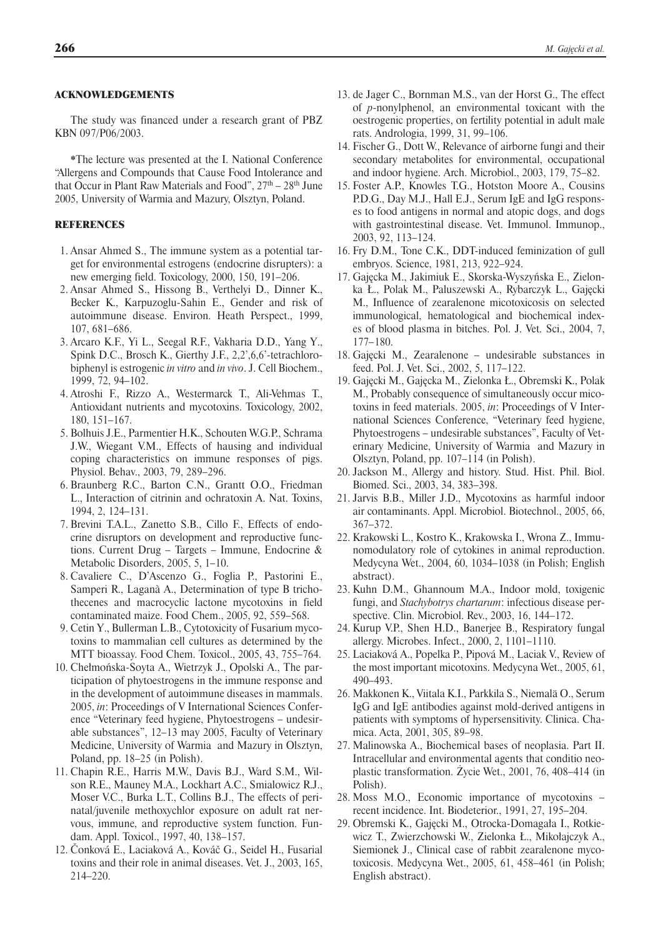# ACKNOWLEDGEMENTS

The study was financed under a research grant of PBZ KBN 097/P06/2003.

\*The lecture was presented at the I. National Conference "Allergens and Compounds that Cause Food Intolerance and that Occur in Plant Raw Materials and Food",  $27<sup>th</sup> - 28<sup>th</sup>$  June 2005, University of Warmia and Mazury, Olsztyn, Poland.

### **REFERENCES**

- 1. Ansar Ahmed S., The immune system as a potential target for environmental estrogens (endocrine disrupters): a new emerging field. Toxicology, 2000, 150, 191–206.
- 2. Ansar Ahmed S., Hissong B., Verthelyi D., Dinner K., Becker K., Karpuzoglu-Sahin E., Gender and risk of autoimmune disease. Environ. Heath Perspect., 1999, 107, 681–686.
- 3. Arcaro K.F., Yi L., Seegal R.F., Vakharia D.D., Yang Y., Spink D.C., Brosch K., Gierthy J.F., 2,2',6,6'-tetrachlorobiphenyl is estrogenic *in vitro* and *in vivo*. J. Cell Biochem., 1999, 72, 94–102.
- 4. Atroshi F., Rizzo A., Westermarck T., Ali-Vehmas T., Antioxidant nutrients and mycotoxins. Toxicology, 2002, 180, 151–167.
- 5. Bolhuis J.E., Parmentier H.K., Schouten W.G.P., Schrama J.W., Wiegant V.M., Effects of hausing and individual coping characteristics on immune responses of pigs. Physiol. Behav., 2003, 79, 289–296.
- 6. Braunberg R.C., Barton C.N., Grantt O.O., Friedman L., Interaction of citrinin and ochratoxin A. Nat. Toxins, 1994, 2, 124–131.
- 7. Brevini T.A.L., Zanetto S.B., Cillo F., Effects of endocrine disruptors on development and reproductive functions. Current Drug – Targets – Immune, Endocrine & Metabolic Disorders, 2005, 5, 1–10.
- 8. Cavaliere C., D'Ascenzo G., Foglia P., Pastorini E., Samperi R., Laganà A., Determination of type B trichothecenes and macrocyclic lactone mycotoxins in field contaminated maize. Food Chem., 2005, 92, 559–568.
- 9. Cetin Y., Bullerman L.B., Cytotoxicity of Fusarium mycotoxins to mammalian cell cultures as determined by the MTT bioassay. Food Chem. Toxicol., 2005, 43, 755–764.
- 10. Chełmońska-Soyta A., Wietrzyk J., Opolski A., The participation of phytoestrogens in the immune response and in the development of autoimmune diseases in mammals. 2005, *in*: Proceedings of V International Sciences Conference "Veterinary feed hygiene, Phytoestrogens – undesirable substances", 12–13 may 2005, Faculty of Veterinary Medicine, University of Warmia and Mazury in Olsztyn, Poland, pp. 18–25 (in Polish).
- 11. Chapin R.E., Harris M.W., Davis B.J., Ward S.M., Wilson R.E., Mauney M.A., Lockhart A.C., Smialowicz R.J., Moser V.C., Burka L.T., Collins B.J., The effects of perinatal/juvenile methoxychlor exposure on adult rat nervous, immune, and reproductive system function. Fundam. Appl. Toxicol., 1997, 40, 138–157.
- 12. Čonková E., Laciaková A., Kováč G., Seidel H., Fusarial toxins and their role in animal diseases. Vet. J., 2003, 165, 214–220.
- 13. de Jager C., Bornman M.S., van der Horst G., The effect of *p*-nonylphenol, an environmental toxicant with the oestrogenic properties, on fertility potential in adult male rats. Andrologia, 1999, 31, 99–106.
- 14. Fischer G., Dott W., Relevance of airborne fungi and their secondary metabolites for environmental, occupational and indoor hygiene. Arch. Microbiol., 2003, 179, 75–82.
- 15. Foster A.P., Knowles T.G., Hotston Moore A., Cousins P.D.G., Day M.J., Hall E.J., Serum IgE and IgG responses to food antigens in normal and atopic dogs, and dogs with gastrointestinal disease. Vet. Immunol. Immunop., 2003, 92, 113–124.
- 16. Fry D.M., Tone C.K., DDT-induced feminization of gull embryos. Science, 1981, 213, 922–924.
- 17. Gajęcka M., Jakimiuk E., Skorska-Wyszyńska E., Zielonka Ł., Polak M., Paluszewski A., Rybarczyk L., Gajęcki M., Influence of zearalenone micotoxicosis on selected immunological, hematological and biochemical indexes of blood plasma in bitches. Pol. J. Vet. Sci., 2004, 7, 177– 180.
- 18. Gajęcki M., Zearalenone undesirable substances in feed. Pol. J. Vet. Sci., 2002, 5, 117–122.
- 19. Gajęcki M., Gajęcka M., Zielonka Ł., Obremski K., Polak M., Probably consequence of simultaneously occur micotoxins in feed materials. 2005, *in*: Proceedings of V International Sciences Conference, "Veterinary feed hygiene, Phytoestrogens – undesirable substances", Faculty of Veterinary Medicine, University of Warmia and Mazury in Olsztyn, Poland, pp. 107–114 (in Polish).
- 20. Jackson M., Allergy and history. Stud. Hist. Phil. Biol. Biomed. Sci., 2003, 34, 383–398.
- 21. Jarvis B.B., Miller J.D., Mycotoxins as harmful indoor air contaminants. Appl. Microbiol. Biotechnol., 2005, 66, 367–372.
- 22. Krakowski L., Kostro K., Krakowska I., Wrona Z., Immunomodulatory role of cytokines in animal reproduction. Medycyna Wet., 2004, 60, 1034–1038 (in Polish; English abstract).
- 23. Kuhn D.M., Ghannoum M.A., Indoor mold, toxigenic fungi, and *Stachybotrys chartarum*: infectious disease perspective. Clin. Microbiol. Rev., 2003, 16, 144–172.
- 24. Kurup V.P., Shen H.D., Banerjee B., Respiratory fungal allergy. Microbes. Infect., 2000, 2, 1101–1110.
- 25. Laciaková A., Popelka P., Pipová M., Laciak V., Review of the most important micotoxins. Medycyna Wet., 2005, 61, 490–493.
- 26. Makkonen K., Viitala K.I., Parkkila S., Niemalä O., Serum IgG and IgE antibodies against mold-derived antigens in patients with symptoms of hypersensitivity. Clinica. Chamica. Acta, 2001, 305, 89–98.
- 27. Malinowska A., Biochemical bases of neoplasia. Part II. Intracellular and environmental agents that conditio neoplastic transformation. Życie Wet., 2001, 76, 408–414 (in Polish).
- 28. Moss M.O., Economic importance of mycotoxins recent incidence. Int. Biodeterior., 1991, 27, 195–204.
- 29. Obremski K., Gajęcki M., Otrocka-Domagała I., Rotkiewicz T., Zwierzchowski W., Zielonka Ł., Mikołajczyk A., Siemionek J., Clinical case of rabbit zearalenone mycotoxicosis. Medycyna Wet., 2005, 61, 458–461 (in Polish; English abstract).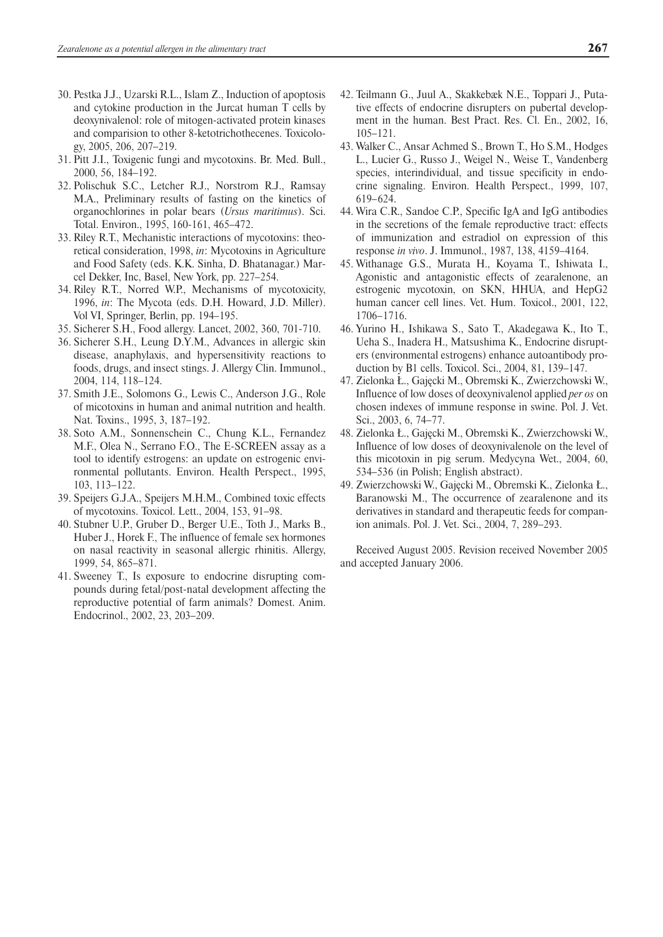- 30. Pestka J.J., Uzarski R.L., Islam Z., Induction of apoptosis and cytokine production in the Jurcat human T cells by deoxynivalenol: role of mitogen-activated protein kinases and comparision to other 8-ketotrichothecenes. Toxicology, 2005, 206, 207–219.
- 31. Pitt J.I., Toxigenic fungi and mycotoxins. Br. Med. Bull., 2000, 56, 184–192.
- 32. Polischuk S.C., Letcher R.J., Norstrom R.J., Ramsay M.A., Preliminary results of fasting on the kinetics of organochlorines in polar bears (*Ursus maritimus*). Sci. Total. Environ., 1995, 160-161, 465–472.
- 33. Riley R.T., Mechanistic interactions of mycotoxins: theoretical consideration, 1998, *in*: Mycotoxins in Agriculture and Food Safety (eds. K.K. Sinha, D. Bhatanagar.) Marcel Dekker, Inc, Basel, New York, pp. 227–254.
- 34. Riley R.T., Norred W.P., Mechanisms of mycotoxicity, 1996, *in*: The Mycota (eds. D.H. Howard, J.D. Miller). Vol VI, Springer, Berlin, pp. 194–195.
- 35. Sicherer S.H., Food allergy. Lancet, 2002, 360, 701-710.
- 36. Sicherer S.H., Leung D.Y.M., Advances in allergic skin disease, anaphylaxis, and hypersensitivity reactions to foods, drugs, and insect stings. J. Allergy Clin. Immunol., 2004, 114, 118–124.
- 37. Smith J.E., Solomons G., Lewis C., Anderson J.G., Role of micotoxins in human and animal nutrition and health. Nat. Toxins., 1995, 3, 187–192.
- 38. Soto A.M., Sonnenschein C., Chung K.L., Fernandez M.F., Olea N., Serrano F.O., The E-SCREEN assay as a tool to identify estrogens: an update on estrogenic environmental pollutants. Environ. Health Perspect., 1995, 103, 113–122.
- 39. Speijers G.J.A., Speijers M.H.M., Combined toxic effects of mycotoxins. Toxicol. Lett., 2004, 153, 91–98.
- 40. Stubner U.P., Gruber D., Berger U.E., Toth J., Marks B., Huber J., Horek F., The influence of female sex hormones on nasal reactivity in seasonal allergic rhinitis. Allergy, 1999, 54, 865–871.
- 41. Sweeney T., Is exposure to endocrine disrupting compounds during fetal/post-natal development affecting the reproductive potential of farm animals? Domest. Anim. Endocrinol., 2002, 23, 203–209.
- 42. Teilmann G., Juul A., Skakkebæk N.E., Toppari J., Putative effects of endocrine disrupters on pubertal development in the human. Best Pract. Res. Cl. En., 2002, 16, 105–121.
- 43. Walker C., Ansar Achmed S., Brown T., Ho S.M., Hodges L., Lucier G., Russo J., Weigel N., Weise T., Vandenberg species, interindividual, and tissue specificity in endocrine signaling. Environ. Health Perspect., 1999, 107, 619– 624.
- 44. Wira C.R., Sandoe C.P., Specific IgA and IgG antibodies in the secretions of the female reproductive tract: effects of immunization and estradiol on expression of this response *in vivo*. J. Immunol., 1987, 138, 4159–4164.
- 45. Withanage G.S., Murata H., Koyama T., Ishiwata I., Agonistic and antagonistic effects of zearalenone, an estrogenic mycotoxin, on SKN, HHUA, and HepG2 human cancer cell lines. Vet. Hum. Toxicol., 2001, 122, 1706– 1716.
- 46. Yurino H., Ishikawa S., Sato T., Akadegawa K., Ito T., Ueha S., Inadera H., Matsushima K., Endocrine disrupters (environmental estrogens) enhance autoantibody production by B1 cells. Toxicol. Sci., 2004, 81, 139–147.
- 47. Zielonka Ł., Gajęcki M., Obremski K., Zwierzchowski W., Influence of low doses of deoxynivalenol applied *per os* on chosen indexes of immune response in swine. Pol. J. Vet. Sci., 2003, 6, 74–77.
- 48. Zielonka Ł., Gajęcki M., Obremski K., Zwierzchowski W., Influence of low doses of deoxynivalenole on the level of this micotoxin in pig serum. Medycyna Wet., 2004, 60, 534–536 (in Polish; English abstract).
- 49. Zwierzchowski W., Gajęcki M., Obremski K., Zielonka Ł., Baranowski M., The occurrence of zearalenone and its derivatives in standard and therapeutic feeds for companion animals. Pol. J. Vet. Sci., 2004, 7, 289–293.

Received August 2005. Revision received November 2005 and accepted January 2006.